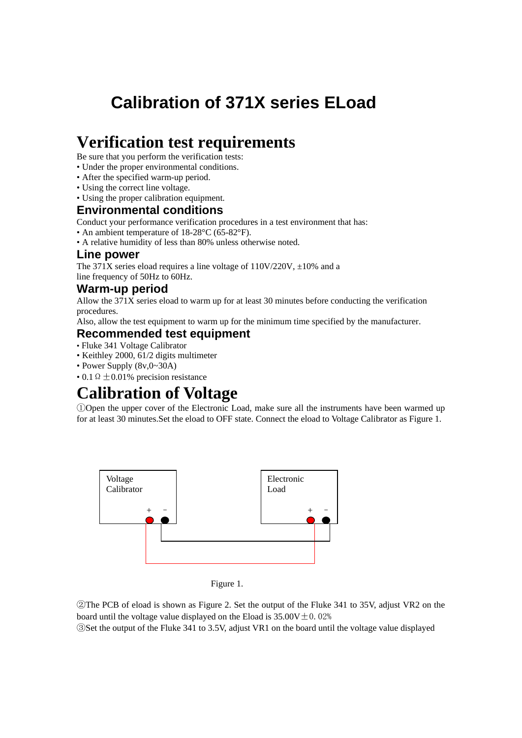# **Calibration of 371X series ELoad**

## **Verification test requirements**

Be sure that you perform the verification tests:

- Under the proper environmental conditions.
- After the specified warm-up period.
- Using the correct line voltage.
- Using the proper calibration equipment.

### **Environmental conditions**

Conduct your performance verification procedures in a test environment that has:

• An ambient temperature of 18-28°C (65-82°F).

• A relative humidity of less than 80% unless otherwise noted.

#### **Line power**

The 371X series eload requires a line voltage of  $110V/220V$ ,  $\pm 10\%$  and a line frequency of 50Hz to 60Hz.

#### **Warm-up period**

Allow the 371X series eload to warm up for at least 30 minutes before conducting the verification procedures.

Also, allow the test equipment to warm up for the minimum time specified by the manufacturer.

### **Recommended test equipment**

- Fluke 341 Voltage Calibrator
- Keithley 2000, 61/2 digits multimeter
- Power Supply (8v,0~30A)
- 0.1  $\Omega \pm 0.01\%$  precision resistance

## **Calibration of Voltage**

①Open the upper cover of the Electronic Load, make sure all the instruments have been warmed up for at least 30 minutes.Set the eload to OFF state. Connect the eload to Voltage Calibrator as Figure 1.



Figure 1.

②The PCB of eload is shown as Figure 2. Set the output of the Fluke 341 to 35V, adjust VR2 on the board until the voltage value displayed on the Eload is  $35.00V \pm 0.02\%$ 

③Set the output of the Fluke 341 to 3.5V, adjust VR1 on the board until the voltage value displayed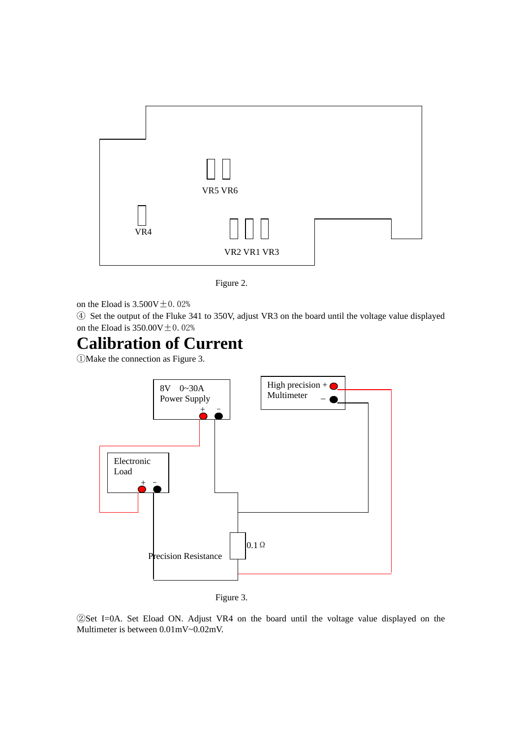

Figure 2.

on the Eload is  $3.500V \pm 0.02%$ 

④ Set the output of the Fluke 341 to 350V, adjust VR3 on the board until the voltage value displayed on the Eload is  $350.00V \pm 0.02%$ 

# **Calibration of Current**

①Make the connection as Figure 3.





②Set I=0A. Set Eload ON. Adjust VR4 on the board until the voltage value displayed on the Multimeter is between 0.01mV~0.02mV.